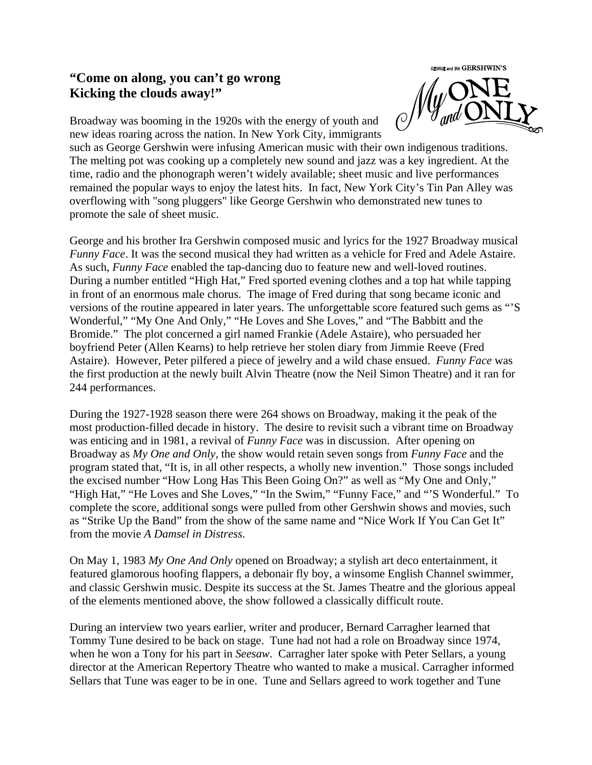## **"Come on along, you can't go wrong Kicking the clouds away!"**



Broadway was booming in the 1920s with the energy of youth and new ideas roaring across the nation. In New York City, immigrants

such as George Gershwin were infusing American music with their own indigenous traditions. The melting pot was cooking up a completely new sound and jazz was a key ingredient. At the time, radio and the phonograph weren't widely available; sheet music and live performances remained the popular ways to enjoy the latest hits. In fact, New York City's Tin Pan Alley was overflowing with "song pluggers" like George Gershwin who demonstrated new tunes to promote the sale of sheet music.

George and his brother Ira Gershwin composed music and lyrics for the 1927 Broadway musical *Funny Face*. It was the second musical they had written as a vehicle for Fred and Adele Astaire. As such, *Funny Face* enabled the tap-dancing duo to feature new and well-loved routines. During a number entitled "High Hat," Fred sported evening clothes and a top hat while tapping in front of an enormous male chorus. The image of Fred during that song became iconic and versions of the routine appeared in later years. The unforgettable score featured such gems as "'S Wonderful," "My One And Only," "He Loves and She Loves," and "The Babbitt and the Bromide." The plot concerned a girl named Frankie (Adele Astaire), who persuaded her boyfriend Peter (Allen Kearns) to help retrieve her stolen diary from Jimmie Reeve (Fred Astaire). However, Peter pilfered a piece of jewelry and a wild chase ensued. *Funny Face* was the first production at the newly built Alvin Theatre (now the Neil Simon Theatre) and it ran for 244 performances.

During the 1927-1928 season there were 264 shows on Broadway, making it the peak of the most production-filled decade in history. The desire to revisit such a vibrant time on Broadway was enticing and in 1981, a revival of *Funny Face* was in discussion. After opening on Broadway as *My One and Only*, the show would retain seven songs from *Funny Face* and the program stated that, "It is, in all other respects, a wholly new invention." Those songs included the excised number "How Long Has This Been Going On?" as well as "My One and Only," "High Hat," "He Loves and She Loves," "In the Swim," "Funny Face," and "'S Wonderful." To complete the score, additional songs were pulled from other Gershwin shows and movies, such as "Strike Up the Band" from the show of the same name and "Nice Work If You Can Get It" from the movie *A Damsel in Distress*.

On May 1, 1983 *My One And Only* opened on Broadway; a stylish art deco entertainment, it featured glamorous hoofing flappers, a debonair fly boy, a winsome English Channel swimmer, and classic Gershwin music. Despite its success at the St. James Theatre and the glorious appeal of the elements mentioned above, the show followed a classically difficult route.

During an interview two years earlier, writer and producer, Bernard Carragher learned that Tommy Tune desired to be back on stage. Tune had not had a role on Broadway since 1974, when he won a Tony for his part in *Seesaw*. Carragher later spoke with Peter Sellars, a young director at the American Repertory Theatre who wanted to make a musical. Carragher informed Sellars that Tune was eager to be in one. Tune and Sellars agreed to work together and Tune